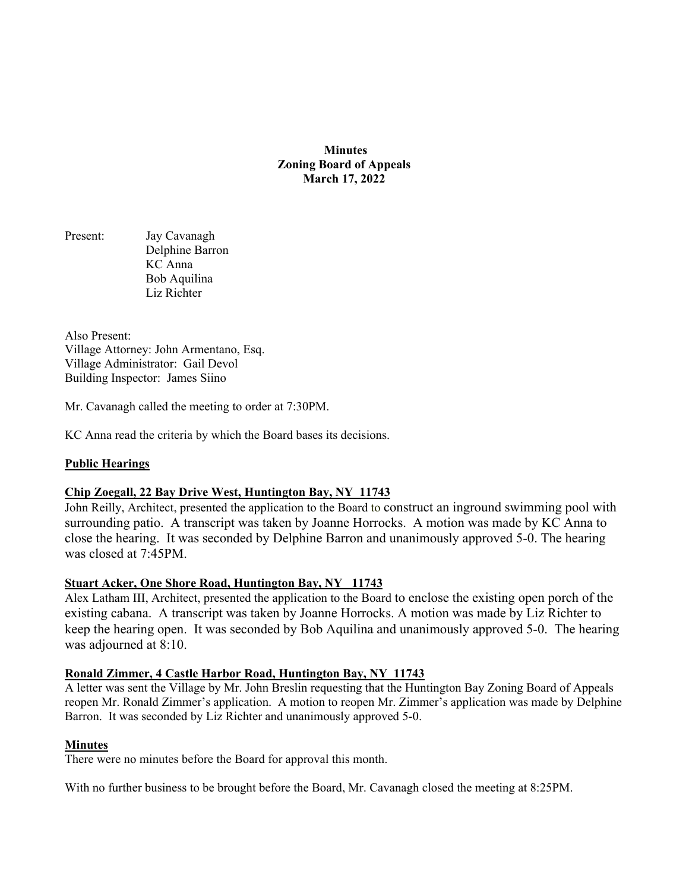**Minutes Zoning Board of Appeals March 17, 2022** 

Present: Jay Cavanagh Delphine Barron KC Anna Bob Aquilina Liz Richter

Also Present: Village Attorney: John Armentano, Esq. Village Administrator: Gail Devol Building Inspector: James Siino

Mr. Cavanagh called the meeting to order at 7:30PM.

KC Anna read the criteria by which the Board bases its decisions.

## **Public Hearings**

## **Chip Zoegall, 22 Bay Drive West, Huntington Bay, NY 11743**

John Reilly, Architect, presented the application to the Board to construct an inground swimming pool with surrounding patio. A transcript was taken by Joanne Horrocks. A motion was made by KC Anna to close the hearing. It was seconded by Delphine Barron and unanimously approved 5-0. The hearing was closed at 7:45PM.

## **Stuart Acker, One Shore Road, Huntington Bay, NY 11743**

Alex Latham III, Architect, presented the application to the Board to enclose the existing open porch of the existing cabana. A transcript was taken by Joanne Horrocks. A motion was made by Liz Richter to keep the hearing open. It was seconded by Bob Aquilina and unanimously approved 5-0. The hearing was adjourned at 8:10.

#### **Ronald Zimmer, 4 Castle Harbor Road, Huntington Bay, NY 11743**

A letter was sent the Village by Mr. John Breslin requesting that the Huntington Bay Zoning Board of Appeals reopen Mr. Ronald Zimmer's application. A motion to reopen Mr. Zimmer's application was made by Delphine Barron. It was seconded by Liz Richter and unanimously approved 5-0.

#### **Minutes**

There were no minutes before the Board for approval this month.

With no further business to be brought before the Board, Mr. Cavanagh closed the meeting at 8:25PM.